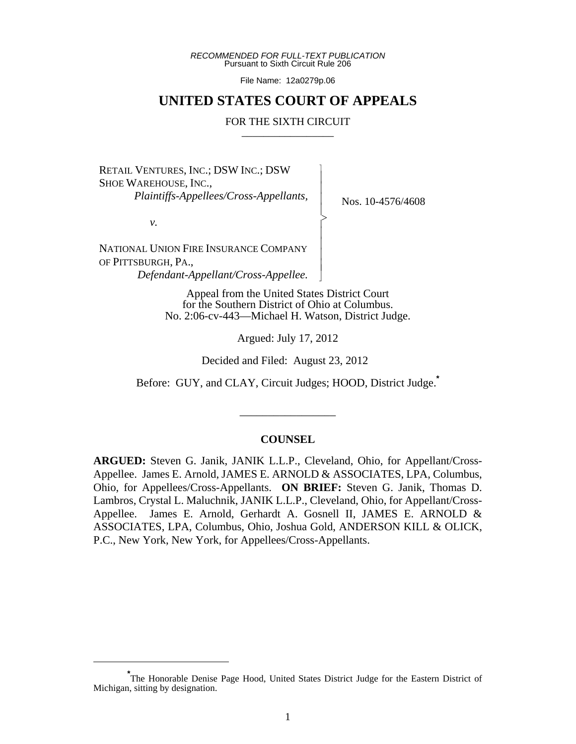*RECOMMENDED FOR FULL-TEXT PUBLICATION* Pursuant to Sixth Circuit Rule 206

File Name: 12a0279p.06

# **UNITED STATES COURT OF APPEALS**

#### FOR THE SIXTH CIRCUIT

 $\overline{\phantom{a}}$ - - - > , - - - - N

RETAIL VENTURES, INC.; DSW INC.; DSW SHOE WAREHOUSE, INC.,  *Plaintiffs-Appellees/Cross-Appellants,*

Nos. 10-4576/4608

*v.*

NATIONAL UNION FIRE INSURANCE COMPANY OF PITTSBURGH, PA.,  *Defendant-Appellant/Cross-Appellee.*

> Appeal from the United States District Court for the Southern District of Ohio at Columbus. No. 2:06-cv-443—Michael H. Watson, District Judge.

> > Argued: July 17, 2012

Decided and Filed: August 23, 2012

Before: GUY, and CLAY, Circuit Judges; HOOD, District Judge.**\***

\_\_\_\_\_\_\_\_\_\_\_\_\_\_\_\_\_

#### **COUNSEL**

**ARGUED:** Steven G. Janik, JANIK L.L.P., Cleveland, Ohio, for Appellant/Cross-Appellee. James E. Arnold, JAMES E. ARNOLD & ASSOCIATES, LPA, Columbus, Ohio, for Appellees/Cross-Appellants. **ON BRIEF:** Steven G. Janik, Thomas D. Lambros, Crystal L. Maluchnik, JANIK L.L.P., Cleveland, Ohio, for Appellant/Cross-Appellee. James E. Arnold, Gerhardt A. Gosnell II, JAMES E. ARNOLD & ASSOCIATES, LPA, Columbus, Ohio, Joshua Gold, ANDERSON KILL & OLICK, P.C., New York, New York, for Appellees/Cross-Appellants.

**<sup>\*</sup>** The Honorable Denise Page Hood, United States District Judge for the Eastern District of Michigan, sitting by designation.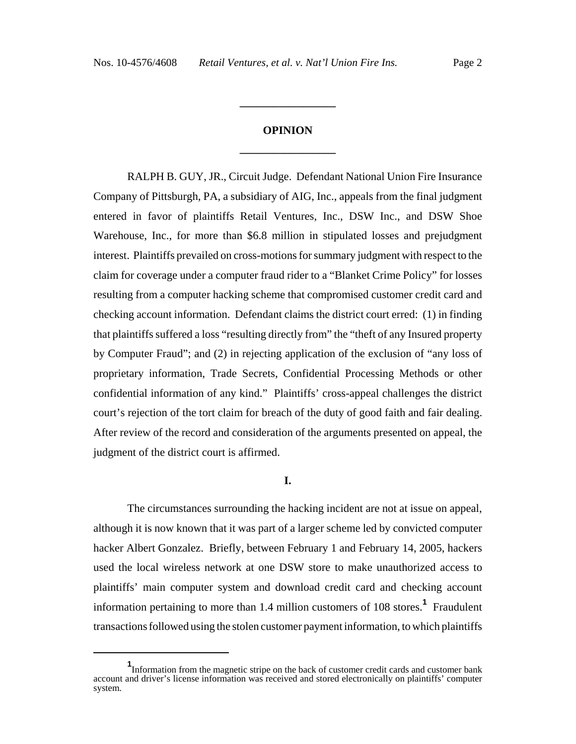# **OPINION \_\_\_\_\_\_\_\_\_\_\_\_\_\_\_\_\_**

**\_\_\_\_\_\_\_\_\_\_\_\_\_\_\_\_\_**

RALPH B. GUY, JR., Circuit Judge. Defendant National Union Fire Insurance Company of Pittsburgh, PA, a subsidiary of AIG, Inc., appeals from the final judgment entered in favor of plaintiffs Retail Ventures, Inc., DSW Inc., and DSW Shoe Warehouse, Inc., for more than \$6.8 million in stipulated losses and prejudgment interest. Plaintiffs prevailed on cross-motions for summary judgment with respect to the claim for coverage under a computer fraud rider to a "Blanket Crime Policy" for losses resulting from a computer hacking scheme that compromised customer credit card and checking account information. Defendant claims the district court erred: (1) in finding that plaintiffs suffered a loss "resulting directly from" the "theft of any Insured property by Computer Fraud"; and (2) in rejecting application of the exclusion of "any loss of proprietary information, Trade Secrets, Confidential Processing Methods or other confidential information of any kind." Plaintiffs' cross-appeal challenges the district court's rejection of the tort claim for breach of the duty of good faith and fair dealing. After review of the record and consideration of the arguments presented on appeal, the judgment of the district court is affirmed.

# **I.**

The circumstances surrounding the hacking incident are not at issue on appeal, although it is now known that it was part of a larger scheme led by convicted computer hacker Albert Gonzalez. Briefly, between February 1 and February 14, 2005, hackers used the local wireless network at one DSW store to make unauthorized access to plaintiffs' main computer system and download credit card and checking account information pertaining to more than 1.4 million customers of 108 stores.**<sup>1</sup>** Fraudulent transactions followed using the stolen customer payment information, to which plaintiffs

**<sup>1</sup>** Information from the magnetic stripe on the back of customer credit cards and customer bank account and driver's license information was received and stored electronically on plaintiffs' computer system.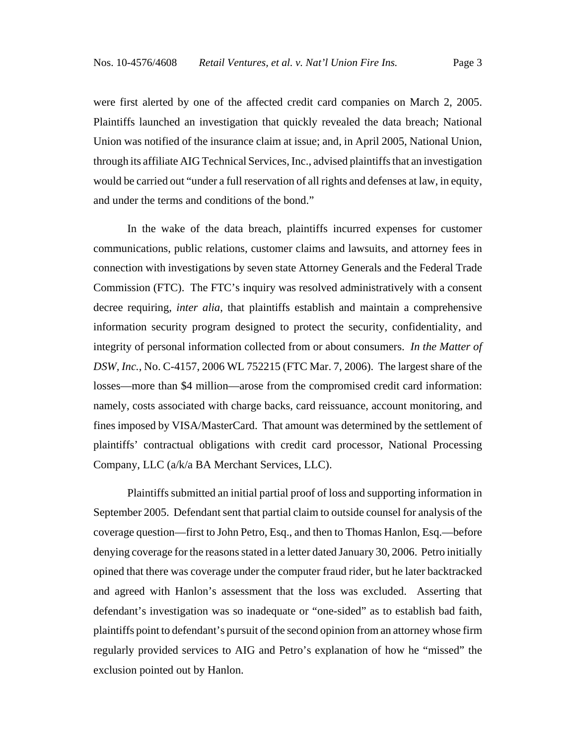were first alerted by one of the affected credit card companies on March 2, 2005. Plaintiffs launched an investigation that quickly revealed the data breach; National Union was notified of the insurance claim at issue; and, in April 2005, National Union, through its affiliate AIG Technical Services, Inc., advised plaintiffs that an investigation would be carried out "under a full reservation of all rights and defenses at law, in equity, and under the terms and conditions of the bond."

In the wake of the data breach, plaintiffs incurred expenses for customer communications, public relations, customer claims and lawsuits, and attorney fees in connection with investigations by seven state Attorney Generals and the Federal Trade Commission (FTC). The FTC's inquiry was resolved administratively with a consent decree requiring, *inter alia*, that plaintiffs establish and maintain a comprehensive information security program designed to protect the security, confidentiality, and integrity of personal information collected from or about consumers. *In the Matter of DSW, Inc.*, No. C-4157, 2006 WL 752215 (FTC Mar. 7, 2006). The largest share of the losses—more than \$4 million—arose from the compromised credit card information: namely, costs associated with charge backs, card reissuance, account monitoring, and fines imposed by VISA/MasterCard. That amount was determined by the settlement of plaintiffs' contractual obligations with credit card processor, National Processing Company, LLC (a/k/a BA Merchant Services, LLC).

Plaintiffs submitted an initial partial proof of loss and supporting information in September 2005. Defendant sent that partial claim to outside counsel for analysis of the coverage question—first to John Petro, Esq., and then to Thomas Hanlon, Esq.—before denying coverage for the reasons stated in a letter dated January 30, 2006. Petro initially opined that there was coverage under the computer fraud rider, but he later backtracked and agreed with Hanlon's assessment that the loss was excluded. Asserting that defendant's investigation was so inadequate or "one-sided" as to establish bad faith, plaintiffs point to defendant's pursuit of the second opinion from an attorney whose firm regularly provided services to AIG and Petro's explanation of how he "missed" the exclusion pointed out by Hanlon.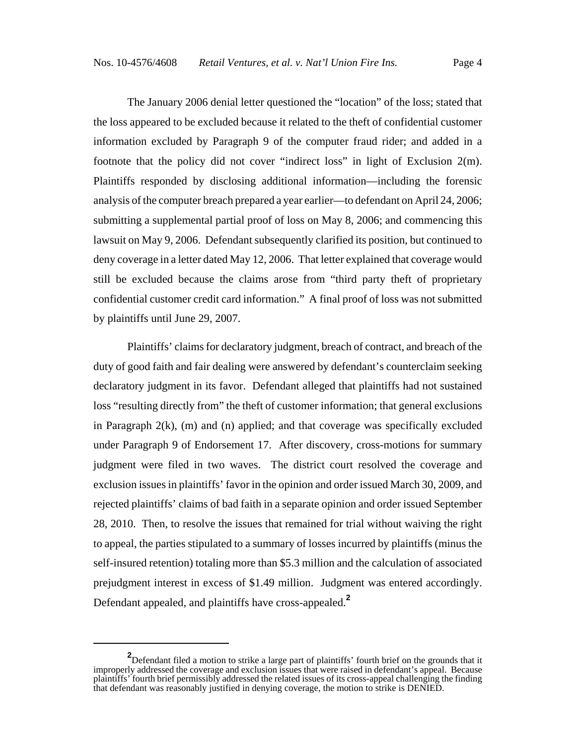The January 2006 denial letter questioned the "location" of the loss; stated that the loss appeared to be excluded because it related to the theft of confidential customer information excluded by Paragraph 9 of the computer fraud rider; and added in a footnote that the policy did not cover "indirect loss" in light of Exclusion 2(m). Plaintiffs responded by disclosing additional information—including the forensic analysis of the computer breach prepared a year earlier—to defendant on April 24, 2006; submitting a supplemental partial proof of loss on May 8, 2006; and commencing this lawsuit on May 9, 2006. Defendant subsequently clarified its position, but continued to deny coverage in a letter dated May 12, 2006. That letter explained that coverage would still be excluded because the claims arose from "third party theft of proprietary confidential customer credit card information." A final proof of loss was not submitted by plaintiffs until June 29, 2007.

Plaintiffs' claims for declaratory judgment, breach of contract, and breach of the duty of good faith and fair dealing were answered by defendant's counterclaim seeking declaratory judgment in its favor. Defendant alleged that plaintiffs had not sustained loss "resulting directly from" the theft of customer information; that general exclusions in Paragraph 2(k), (m) and (n) applied; and that coverage was specifically excluded under Paragraph 9 of Endorsement 17. After discovery, cross-motions for summary judgment were filed in two waves. The district court resolved the coverage and exclusion issues in plaintiffs' favor in the opinion and order issued March 30, 2009, and rejected plaintiffs' claims of bad faith in a separate opinion and order issued September 28, 2010. Then, to resolve the issues that remained for trial without waiving the right to appeal, the parties stipulated to a summary of losses incurred by plaintiffs (minus the self-insured retention) totaling more than \$5.3 million and the calculation of associated prejudgment interest in excess of \$1.49 million. Judgment was entered accordingly. Defendant appealed, and plaintiffs have cross-appealed.**<sup>2</sup>**

**<sup>2</sup>** Defendant filed a motion to strike a large part of plaintiffs' fourth brief on the grounds that it improperly addressed the coverage and exclusion issues that were raised in defendant's appeal. Because plaintiffs' fourth brief permissibly addressed the related issues of its cross-appeal challenging the finding that defendant was reasonably justified in denying coverage, the motion to strike is DENIED.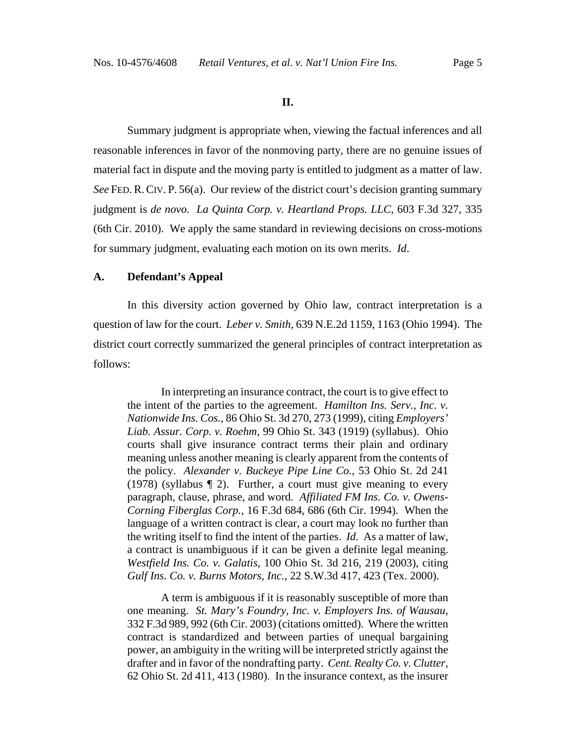#### **II.**

Summary judgment is appropriate when, viewing the factual inferences and all reasonable inferences in favor of the nonmoving party, there are no genuine issues of material fact in dispute and the moving party is entitled to judgment as a matter of law. *See* FED. R. CIV. P. 56(a). Our review of the district court's decision granting summary judgment is *de novo. La Quinta Corp. v. Heartland Props. LLC*, 603 F.3d 327, 335 (6th Cir. 2010). We apply the same standard in reviewing decisions on cross-motions for summary judgment, evaluating each motion on its own merits. *Id*.

#### **A. Defendant's Appeal**

In this diversity action governed by Ohio law, contract interpretation is a question of law for the court. *Leber v. Smith*, 639 N.E.2d 1159, 1163 (Ohio 1994). The district court correctly summarized the general principles of contract interpretation as follows:

In interpreting an insurance contract, the court is to give effect to the intent of the parties to the agreement. *Hamilton Ins. Serv., Inc. v. Nationwide Ins. Cos.*, 86 Ohio St. 3d 270, 273 (1999), citing *Employers' Liab. Assur. Corp. v. Roehm*, 99 Ohio St. 343 (1919) (syllabus). Ohio courts shall give insurance contract terms their plain and ordinary meaning unless another meaning is clearly apparent from the contents of the policy. *Alexander v. Buckeye Pipe Line Co.*, 53 Ohio St. 2d 241 (1978) (syllabus ¶ 2). Further, a court must give meaning to every paragraph, clause, phrase, and word. *Affiliated FM Ins. Co. v. Owens-Corning Fiberglas Corp.*, 16 F.3d 684, 686 (6th Cir. 1994). When the language of a written contract is clear, a court may look no further than the writing itself to find the intent of the parties. *Id*. As a matter of law, a contract is unambiguous if it can be given a definite legal meaning. *Westfield Ins. Co. v. Galatis*, 100 Ohio St. 3d 216, 219 (2003), citing *Gulf Ins. Co. v. Burns Motors, Inc.*, 22 S.W.3d 417, 423 (Tex. 2000).

A term is ambiguous if it is reasonably susceptible of more than one meaning. *St. Mary's Foundry, Inc. v. Employers Ins. of Wausau*, 332 F.3d 989, 992 (6th Cir. 2003) (citations omitted). Where the written contract is standardized and between parties of unequal bargaining power, an ambiguity in the writing will be interpreted strictly against the drafter and in favor of the nondrafting party. *Cent. Realty Co. v. Clutter*, 62 Ohio St. 2d 411, 413 (1980). In the insurance context, as the insurer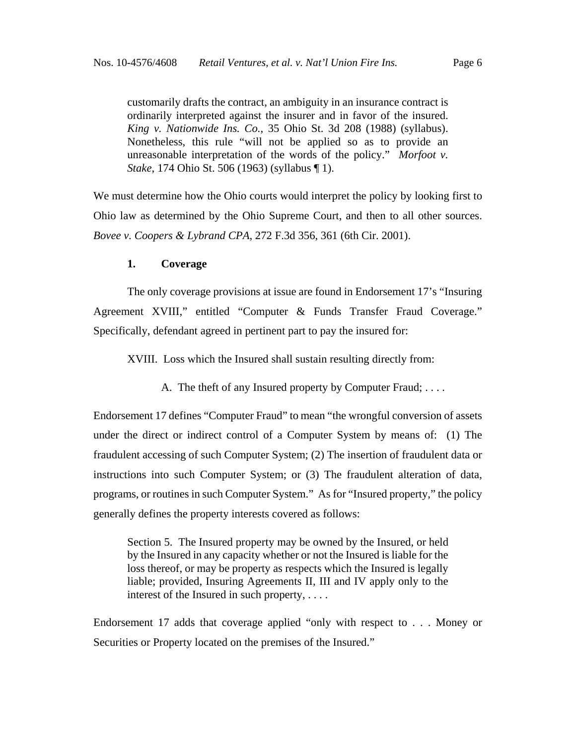customarily drafts the contract, an ambiguity in an insurance contract is ordinarily interpreted against the insurer and in favor of the insured. *King v. Nationwide Ins. Co.*, 35 Ohio St. 3d 208 (1988) (syllabus). Nonetheless, this rule "will not be applied so as to provide an unreasonable interpretation of the words of the policy." *Morfoot v. Stake*, 174 Ohio St. 506 (1963) (syllabus ¶ 1).

We must determine how the Ohio courts would interpret the policy by looking first to Ohio law as determined by the Ohio Supreme Court, and then to all other sources. *Bovee v. Coopers & Lybrand CPA*, 272 F.3d 356, 361 (6th Cir. 2001).

#### **1. Coverage**

The only coverage provisions at issue are found in Endorsement 17's "Insuring Agreement XVIII," entitled "Computer & Funds Transfer Fraud Coverage." Specifically, defendant agreed in pertinent part to pay the insured for:

XVIII. Loss which the Insured shall sustain resulting directly from:

A. The theft of any Insured property by Computer Fraud; . . . .

Endorsement 17 defines "Computer Fraud" to mean "the wrongful conversion of assets under the direct or indirect control of a Computer System by means of: (1) The fraudulent accessing of such Computer System; (2) The insertion of fraudulent data or instructions into such Computer System; or (3) The fraudulent alteration of data, programs, or routines in such Computer System." As for "Insured property," the policy generally defines the property interests covered as follows:

Section 5. The Insured property may be owned by the Insured, or held by the Insured in any capacity whether or not the Insured is liable for the loss thereof, or may be property as respects which the Insured is legally liable; provided, Insuring Agreements II, III and IV apply only to the interest of the Insured in such property, . . . .

Endorsement 17 adds that coverage applied "only with respect to . . . Money or Securities or Property located on the premises of the Insured."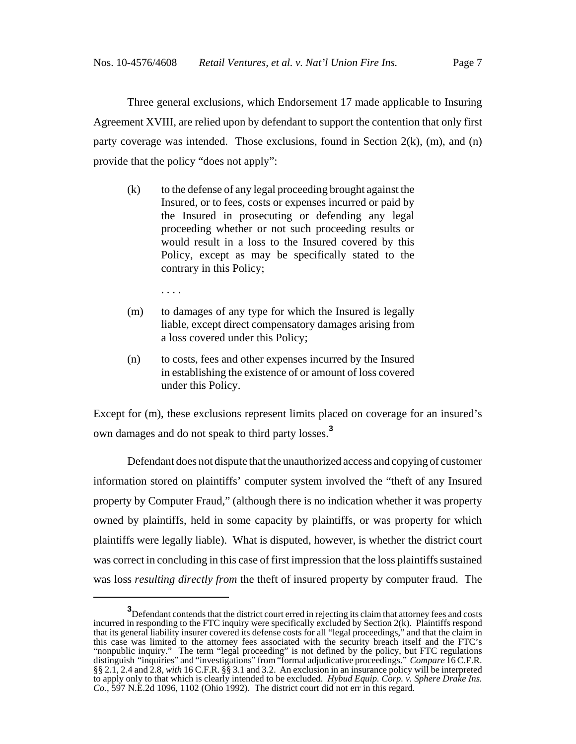Three general exclusions, which Endorsement 17 made applicable to Insuring Agreement XVIII, are relied upon by defendant to support the contention that only first party coverage was intended. Those exclusions, found in Section  $2(k)$ , (m), and (n) provide that the policy "does not apply":

(k) to the defense of any legal proceeding brought against the Insured, or to fees, costs or expenses incurred or paid by the Insured in prosecuting or defending any legal proceeding whether or not such proceeding results or would result in a loss to the Insured covered by this Policy, except as may be specifically stated to the contrary in this Policy;

. . . .

- (m) to damages of any type for which the Insured is legally liable, except direct compensatory damages arising from a loss covered under this Policy;
- (n) to costs, fees and other expenses incurred by the Insured in establishing the existence of or amount of loss covered under this Policy.

Except for (m), these exclusions represent limits placed on coverage for an insured's own damages and do not speak to third party losses.**<sup>3</sup>**

Defendant does not dispute that the unauthorized access and copying of customer information stored on plaintiffs' computer system involved the "theft of any Insured property by Computer Fraud," (although there is no indication whether it was property owned by plaintiffs, held in some capacity by plaintiffs, or was property for which plaintiffs were legally liable). What is disputed, however, is whether the district court was correct in concluding in this case of first impression that the loss plaintiffs sustained was loss *resulting directly from* the theft of insured property by computer fraud. The

**<sup>3</sup>** Defendant contends that the district court erred in rejecting its claim that attorney fees and costs incurred in responding to the FTC inquiry were specifically excluded by Section 2(k). Plaintiffs respond that its general liability insurer covered its defense costs for all "legal proceedings," and that the claim in this case was limited to the attorney fees associated with the security breach itself and the FTC's "nonpublic inquiry." The term "legal proceeding" is not defined by the policy, but FTC regulations distinguish "inquiries" and "investigations" from "formal adjudicative proceedings." *Compare* 16 C.F.R. §§ 2.1, 2.4 and 2.8, *with* 16 C.F.R. §§ 3.1 and 3.2. An exclusion in an insurance policy will be interpreted to apply only to that which is clearly intended to be excluded. *Hybud Equip. Corp. v. Sphere Drake Ins. Co.*, 597 N.E.2d 1096, 1102 (Ohio 1992). The district court did not err in this regard.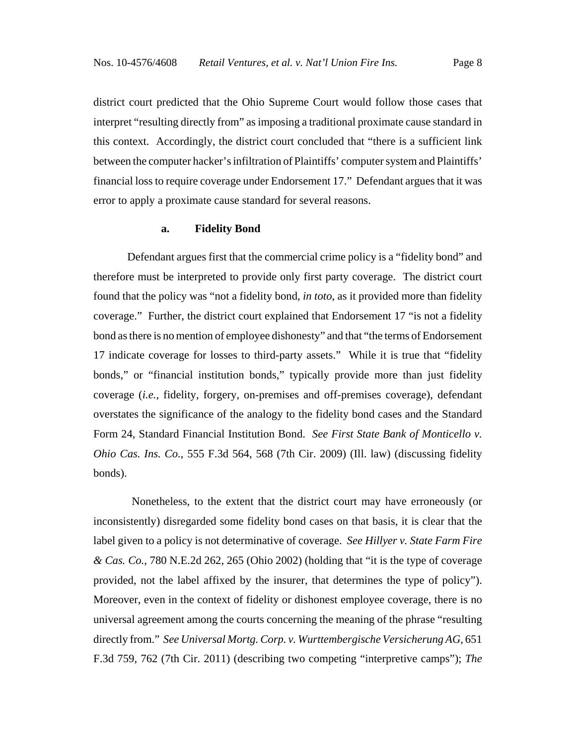district court predicted that the Ohio Supreme Court would follow those cases that interpret "resulting directly from" as imposing a traditional proximate cause standard in this context. Accordingly, the district court concluded that "there is a sufficient link between the computer hacker's infiltration of Plaintiffs' computer system and Plaintiffs' financial loss to require coverage under Endorsement 17." Defendant argues that it was error to apply a proximate cause standard for several reasons.

#### **a. Fidelity Bond**

Defendant argues first that the commercial crime policy is a "fidelity bond" and therefore must be interpreted to provide only first party coverage. The district court found that the policy was "not a fidelity bond, *in toto*, as it provided more than fidelity coverage." Further, the district court explained that Endorsement 17 "is not a fidelity bond as there is no mention of employee dishonesty" and that "the terms of Endorsement 17 indicate coverage for losses to third-party assets." While it is true that "fidelity bonds," or "financial institution bonds," typically provide more than just fidelity coverage (*i.e.*, fidelity, forgery, on-premises and off-premises coverage), defendant overstates the significance of the analogy to the fidelity bond cases and the Standard Form 24, Standard Financial Institution Bond. *See First State Bank of Monticello v. Ohio Cas. Ins. Co.*, 555 F.3d 564, 568 (7th Cir. 2009) (Ill. law) (discussing fidelity bonds).

 Nonetheless, to the extent that the district court may have erroneously (or inconsistently) disregarded some fidelity bond cases on that basis, it is clear that the label given to a policy is not determinative of coverage. *See Hillyer v. State Farm Fire & Cas. Co.*, 780 N.E.2d 262, 265 (Ohio 2002) (holding that "it is the type of coverage provided, not the label affixed by the insurer, that determines the type of policy"). Moreover, even in the context of fidelity or dishonest employee coverage, there is no universal agreement among the courts concerning the meaning of the phrase "resulting directly from." *See Universal Mortg. Corp. v. Wurttembergische Versicherung AG*, 651 F.3d 759, 762 (7th Cir. 2011) (describing two competing "interpretive camps"); *The*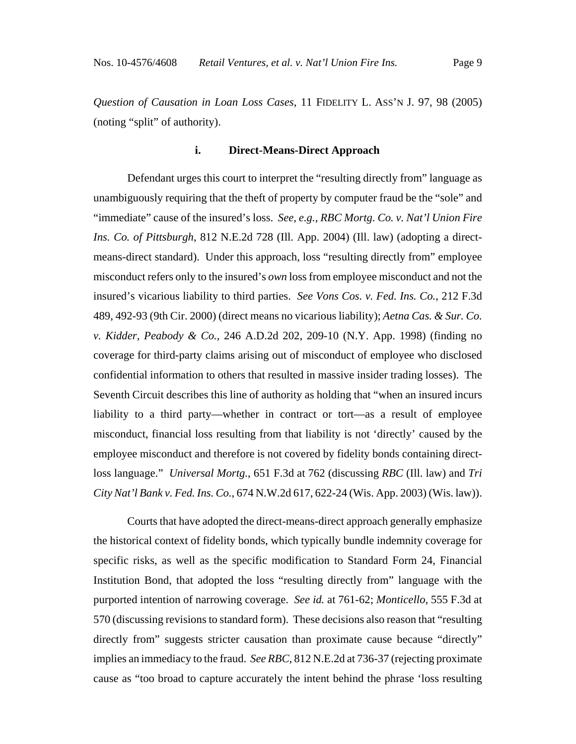*Question of Causation in Loan Loss Cases*, 11 FIDELITY L. ASS'N J. 97, 98 (2005) (noting "split" of authority).

# **i. Direct-Means-Direct Approach**

Defendant urges this court to interpret the "resulting directly from" language as unambiguously requiring that the theft of property by computer fraud be the "sole" and "immediate" cause of the insured's loss. *See, e.g.*, *RBC Mortg. Co. v. Nat'l Union Fire Ins. Co. of Pittsburgh*, 812 N.E.2d 728 (Ill. App. 2004) (Ill. law) (adopting a directmeans-direct standard). Under this approach, loss "resulting directly from" employee misconduct refers only to the insured's *own* loss from employee misconduct and not the insured's vicarious liability to third parties. *See Vons Cos. v. Fed. Ins. Co.*, 212 F.3d 489, 492-93 (9th Cir. 2000) (direct means no vicarious liability); *Aetna Cas. & Sur. Co. v. Kidder, Peabody & Co.*, 246 A.D.2d 202, 209-10 (N.Y. App. 1998) (finding no coverage for third-party claims arising out of misconduct of employee who disclosed confidential information to others that resulted in massive insider trading losses). The Seventh Circuit describes this line of authority as holding that "when an insured incurs liability to a third party—whether in contract or tort—as a result of employee misconduct, financial loss resulting from that liability is not 'directly' caused by the employee misconduct and therefore is not covered by fidelity bonds containing directloss language." *Universal Mortg.*, 651 F.3d at 762 (discussing *RBC* (Ill. law) and *Tri City Nat'l Bank v. Fed. Ins. Co.*, 674 N.W.2d 617, 622-24 (Wis. App. 2003) (Wis. law)).

Courts that have adopted the direct-means-direct approach generally emphasize the historical context of fidelity bonds, which typically bundle indemnity coverage for specific risks, as well as the specific modification to Standard Form 24, Financial Institution Bond, that adopted the loss "resulting directly from" language with the purported intention of narrowing coverage. *See id.* at 761-62; *Monticello*, 555 F.3d at 570 (discussing revisions to standard form). These decisions also reason that "resulting directly from" suggests stricter causation than proximate cause because "directly" implies an immediacy to the fraud. *See RBC*, 812 N.E.2d at 736-37 (rejecting proximate cause as "too broad to capture accurately the intent behind the phrase 'loss resulting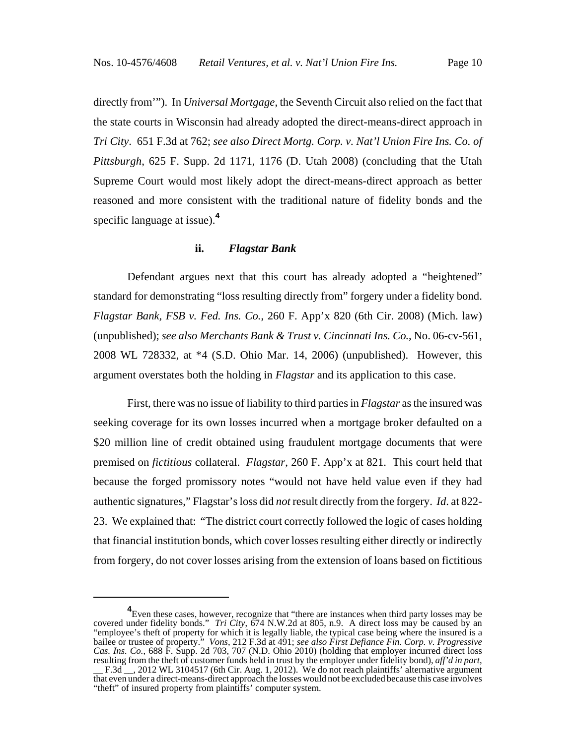directly from'"). In *Universal Mortgage*, the Seventh Circuit also relied on the fact that the state courts in Wisconsin had already adopted the direct-means-direct approach in *Tri City*. 651 F.3d at 762; *see also Direct Mortg. Corp. v. Nat'l Union Fire Ins. Co. of Pittsburgh*, 625 F. Supp. 2d 1171, 1176 (D. Utah 2008) (concluding that the Utah Supreme Court would most likely adopt the direct-means-direct approach as better reasoned and more consistent with the traditional nature of fidelity bonds and the specific language at issue).**<sup>4</sup>**

#### **ii.** *Flagstar Bank*

Defendant argues next that this court has already adopted a "heightened" standard for demonstrating "loss resulting directly from" forgery under a fidelity bond. *Flagstar Bank, FSB v. Fed. Ins. Co.*, 260 F. App'x 820 (6th Cir. 2008) (Mich. law) (unpublished); *see also Merchants Bank & Trust v. Cincinnati Ins. Co.*, No. 06-cv-561, 2008 WL 728332, at \*4 (S.D. Ohio Mar. 14, 2006) (unpublished). However, this argument overstates both the holding in *Flagstar* and its application to this case.

First, there was no issue of liability to third parties in *Flagstar* as the insured was seeking coverage for its own losses incurred when a mortgage broker defaulted on a \$20 million line of credit obtained using fraudulent mortgage documents that were premised on *fictitious* collateral. *Flagstar*, 260 F. App'x at 821. This court held that because the forged promissory notes "would not have held value even if they had authentic signatures," Flagstar's loss did *not* result directly from the forgery. *Id*. at 822- 23. We explained that: "The district court correctly followed the logic of cases holding that financial institution bonds, which cover losses resulting either directly or indirectly from forgery, do not cover losses arising from the extension of loans based on fictitious

<sup>&</sup>lt;sup>4</sup> Even these cases, however, recognize that "there are instances when third party losses may be covered under fidelity bonds." *Tri City*, 674 N.W.2d at 805, n.9. A direct loss may be caused by an "employee's theft of property for which it is legally liable, the typical case being where the insured is a bailee or trustee of property." *Vons*, 212 F.3d at 491; *see also First Defiance Fin. Corp. v. Progressive Cas. Ins. Co.*, 688 F. Supp. 2d 703, 707 (N.D. Ohio 2010) (holding that employer incurred direct loss resulting from the theft of customer funds held in trust by the employer under fidelity bond), *aff'd in part*, <br>
\_\_ F.3d \_\_, 2012 WL 3104517 (6th Cir. Aug. 1, 2012). We do not reach plaintiffs' alternative argument that even under a direct-means-direct approach the losses would not be excluded because this case involves "theft" of insured property from plaintiffs' computer system.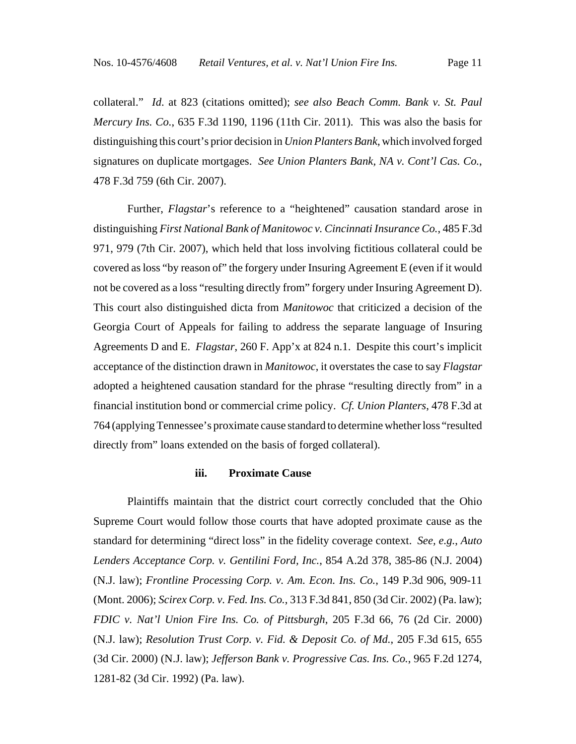collateral." *Id*. at 823 (citations omitted); *see also Beach Comm. Bank v. St. Paul Mercury Ins. Co.*, 635 F.3d 1190, 1196 (11th Cir. 2011). This was also the basis for distinguishing this court's prior decision in *Union Planters Bank*, which involved forged signatures on duplicate mortgages. *See Union Planters Bank, NA v. Cont'l Cas. Co.*, 478 F.3d 759 (6th Cir. 2007).

Further, *Flagstar*'s reference to a "heightened" causation standard arose in distinguishing *First National Bank of Manitowoc v. Cincinnati Insurance Co.*, 485 F.3d 971, 979 (7th Cir. 2007), which held that loss involving fictitious collateral could be covered as loss "by reason of" the forgery under Insuring Agreement E (even if it would not be covered as a loss "resulting directly from" forgery under Insuring Agreement D). This court also distinguished dicta from *Manitowoc* that criticized a decision of the Georgia Court of Appeals for failing to address the separate language of Insuring Agreements D and E. *Flagstar*, 260 F. App'x at 824 n.1. Despite this court's implicit acceptance of the distinction drawn in *Manitowoc*, it overstates the case to say *Flagstar* adopted a heightened causation standard for the phrase "resulting directly from" in a financial institution bond or commercial crime policy. *Cf. Union Planters*, 478 F.3d at 764 (applying Tennessee's proximate cause standard to determine whether loss "resulted directly from" loans extended on the basis of forged collateral).

#### **iii. Proximate Cause**

Plaintiffs maintain that the district court correctly concluded that the Ohio Supreme Court would follow those courts that have adopted proximate cause as the standard for determining "direct loss" in the fidelity coverage context. *See, e.g.*, *Auto Lenders Acceptance Corp. v. Gentilini Ford, Inc.*, 854 A.2d 378, 385-86 (N.J. 2004) (N.J. law); *Frontline Processing Corp. v. Am. Econ. Ins. Co.*, 149 P.3d 906, 909-11 (Mont. 2006); *Scirex Corp. v. Fed. Ins. Co.*, 313 F.3d 841, 850 (3d Cir. 2002) (Pa. law); *FDIC v. Nat'l Union Fire Ins. Co. of Pittsburgh*, 205 F.3d 66, 76 (2d Cir. 2000) (N.J. law); *Resolution Trust Corp. v. Fid. & Deposit Co. of Md.*, 205 F.3d 615, 655 (3d Cir. 2000) (N.J. law); *Jefferson Bank v. Progressive Cas. Ins. Co.*, 965 F.2d 1274, 1281-82 (3d Cir. 1992) (Pa. law).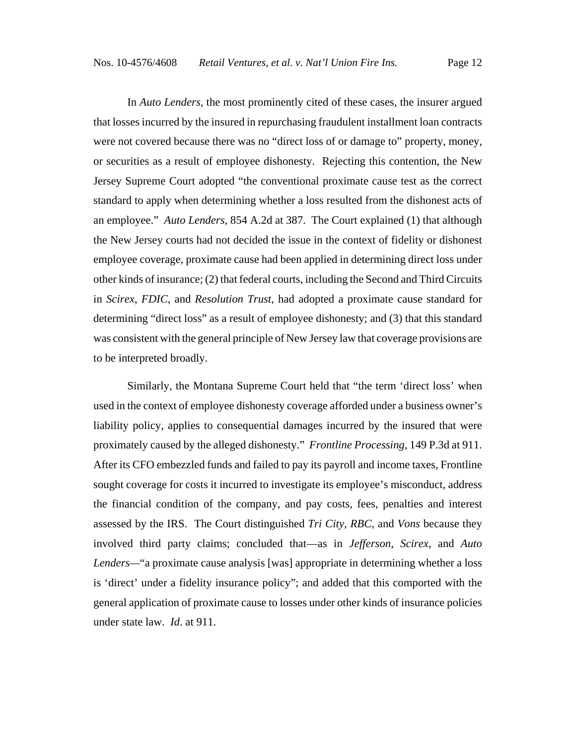In *Auto Lenders*, the most prominently cited of these cases, the insurer argued that losses incurred by the insured in repurchasing fraudulent installment loan contracts were not covered because there was no "direct loss of or damage to" property, money, or securities as a result of employee dishonesty. Rejecting this contention, the New Jersey Supreme Court adopted "the conventional proximate cause test as the correct standard to apply when determining whether a loss resulted from the dishonest acts of an employee." *Auto Lenders*, 854 A.2d at 387. The Court explained (1) that although the New Jersey courts had not decided the issue in the context of fidelity or dishonest employee coverage, proximate cause had been applied in determining direct loss under other kinds of insurance; (2) that federal courts, including the Second and Third Circuits in *Scirex*, *FDIC*, and *Resolution Trust*, had adopted a proximate cause standard for determining "direct loss" as a result of employee dishonesty; and (3) that this standard was consistent with the general principle of New Jersey law that coverage provisions are to be interpreted broadly.

Similarly, the Montana Supreme Court held that "the term 'direct loss' when used in the context of employee dishonesty coverage afforded under a business owner's liability policy, applies to consequential damages incurred by the insured that were proximately caused by the alleged dishonesty." *Frontline Processing*, 149 P.3d at 911. After its CFO embezzled funds and failed to pay its payroll and income taxes, Frontline sought coverage for costs it incurred to investigate its employee's misconduct, address the financial condition of the company, and pay costs, fees, penalties and interest assessed by the IRS. The Court distinguished *Tri City*, *RBC*, and *Vons* because they involved third party claims; concluded that—as in *Jefferson*, *Scirex*, and *Auto Lenders—*"a proximate cause analysis [was] appropriate in determining whether a loss is 'direct' under a fidelity insurance policy"; and added that this comported with the general application of proximate cause to losses under other kinds of insurance policies under state law. *Id*. at 911.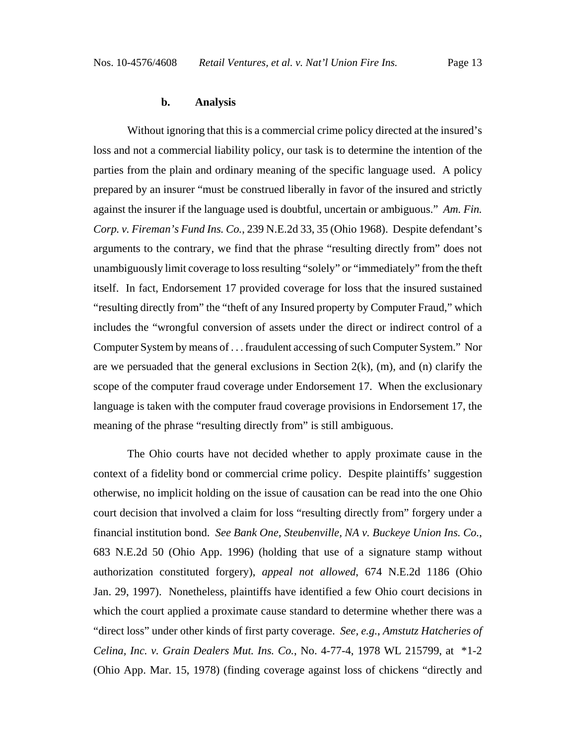### **b. Analysis**

Without ignoring that this is a commercial crime policy directed at the insured's loss and not a commercial liability policy, our task is to determine the intention of the parties from the plain and ordinary meaning of the specific language used. A policy prepared by an insurer "must be construed liberally in favor of the insured and strictly against the insurer if the language used is doubtful, uncertain or ambiguous." *Am. Fin. Corp. v. Fireman's Fund Ins. Co.*, 239 N.E.2d 33, 35 (Ohio 1968). Despite defendant's arguments to the contrary, we find that the phrase "resulting directly from" does not unambiguously limit coverage to loss resulting "solely" or "immediately" from the theft itself. In fact, Endorsement 17 provided coverage for loss that the insured sustained "resulting directly from" the "theft of any Insured property by Computer Fraud," which includes the "wrongful conversion of assets under the direct or indirect control of a Computer System by means of . . . fraudulent accessing of such Computer System." Nor are we persuaded that the general exclusions in Section  $2(k)$ ,  $(m)$ , and  $(n)$  clarify the scope of the computer fraud coverage under Endorsement 17. When the exclusionary language is taken with the computer fraud coverage provisions in Endorsement 17, the meaning of the phrase "resulting directly from" is still ambiguous.

The Ohio courts have not decided whether to apply proximate cause in the context of a fidelity bond or commercial crime policy. Despite plaintiffs' suggestion otherwise, no implicit holding on the issue of causation can be read into the one Ohio court decision that involved a claim for loss "resulting directly from" forgery under a financial institution bond. *See Bank One, Steubenville, NA v. Buckeye Union Ins. Co.*, 683 N.E.2d 50 (Ohio App. 1996) (holding that use of a signature stamp without authorization constituted forgery), *appeal not allowed*, 674 N.E.2d 1186 (Ohio Jan. 29, 1997). Nonetheless, plaintiffs have identified a few Ohio court decisions in which the court applied a proximate cause standard to determine whether there was a "direct loss" under other kinds of first party coverage. *See, e.g.*, *Amstutz Hatcheries of Celina, Inc. v. Grain Dealers Mut. Ins. Co.*, No. 4-77-4, 1978 WL 215799, at \*1-2 (Ohio App. Mar. 15, 1978) (finding coverage against loss of chickens "directly and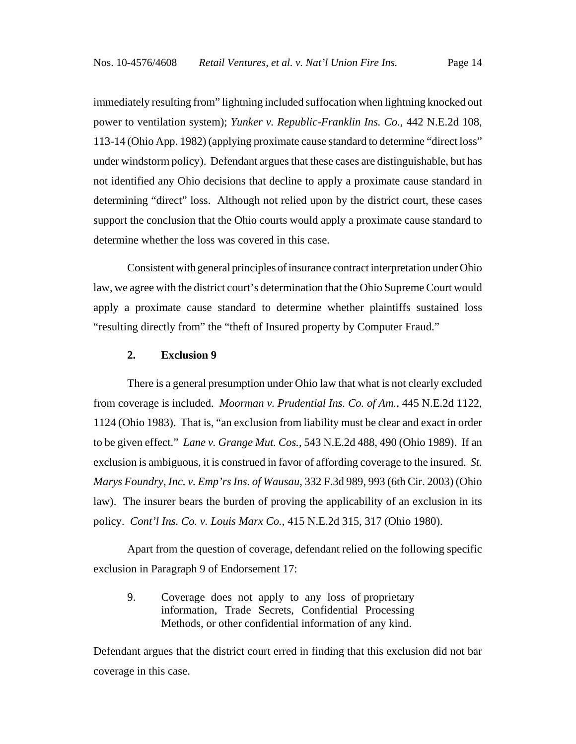immediately resulting from" lightning included suffocation when lightning knocked out power to ventilation system); *Yunker v. Republic-Franklin Ins. Co.*, 442 N.E.2d 108, 113-14 (Ohio App. 1982) (applying proximate cause standard to determine "direct loss" under windstorm policy). Defendant argues that these cases are distinguishable, but has not identified any Ohio decisions that decline to apply a proximate cause standard in determining "direct" loss. Although not relied upon by the district court, these cases support the conclusion that the Ohio courts would apply a proximate cause standard to determine whether the loss was covered in this case.

Consistent with general principles of insurance contract interpretation under Ohio law, we agree with the district court's determination that the Ohio Supreme Court would apply a proximate cause standard to determine whether plaintiffs sustained loss "resulting directly from" the "theft of Insured property by Computer Fraud."

## **2. Exclusion 9**

There is a general presumption under Ohio law that what is not clearly excluded from coverage is included. *Moorman v. Prudential Ins. Co. of Am.*, 445 N.E.2d 1122, 1124 (Ohio 1983). That is, "an exclusion from liability must be clear and exact in order to be given effect." *Lane v. Grange Mut. Cos.*, 543 N.E.2d 488, 490 (Ohio 1989). If an exclusion is ambiguous, it is construed in favor of affording coverage to the insured. *St. Marys Foundry, Inc. v. Emp'rs Ins. of Wausau*, 332 F.3d 989, 993 (6th Cir. 2003) (Ohio law). The insurer bears the burden of proving the applicability of an exclusion in its policy. *Cont'l Ins. Co. v. Louis Marx Co.*, 415 N.E.2d 315, 317 (Ohio 1980).

Apart from the question of coverage, defendant relied on the following specific exclusion in Paragraph 9 of Endorsement 17:

9. Coverage does not apply to any loss of proprietary information, Trade Secrets, Confidential Processing Methods, or other confidential information of any kind.

Defendant argues that the district court erred in finding that this exclusion did not bar coverage in this case.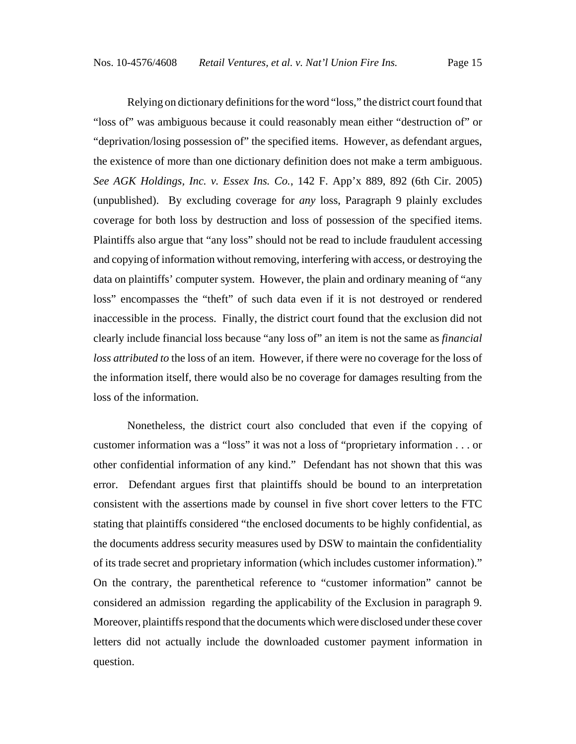Relying on dictionary definitions for the word "loss," the district court found that "loss of" was ambiguous because it could reasonably mean either "destruction of" or "deprivation/losing possession of" the specified items. However, as defendant argues, the existence of more than one dictionary definition does not make a term ambiguous. *See AGK Holdings, Inc. v. Essex Ins. Co.*, 142 F. App'x 889, 892 (6th Cir. 2005) (unpublished). By excluding coverage for *any* loss, Paragraph 9 plainly excludes coverage for both loss by destruction and loss of possession of the specified items. Plaintiffs also argue that "any loss" should not be read to include fraudulent accessing and copying of information without removing, interfering with access, or destroying the data on plaintiffs' computer system. However, the plain and ordinary meaning of "any loss" encompasses the "theft" of such data even if it is not destroyed or rendered inaccessible in the process. Finally, the district court found that the exclusion did not clearly include financial loss because "any loss of" an item is not the same as *financial loss attributed to* the loss of an item. However, if there were no coverage for the loss of the information itself, there would also be no coverage for damages resulting from the loss of the information.

Nonetheless, the district court also concluded that even if the copying of customer information was a "loss" it was not a loss of "proprietary information . . . or other confidential information of any kind." Defendant has not shown that this was error. Defendant argues first that plaintiffs should be bound to an interpretation consistent with the assertions made by counsel in five short cover letters to the FTC stating that plaintiffs considered "the enclosed documents to be highly confidential, as the documents address security measures used by DSW to maintain the confidentiality of its trade secret and proprietary information (which includes customer information)." On the contrary, the parenthetical reference to "customer information" cannot be considered an admission regarding the applicability of the Exclusion in paragraph 9. Moreover, plaintiffs respond that the documents which were disclosed under these cover letters did not actually include the downloaded customer payment information in question.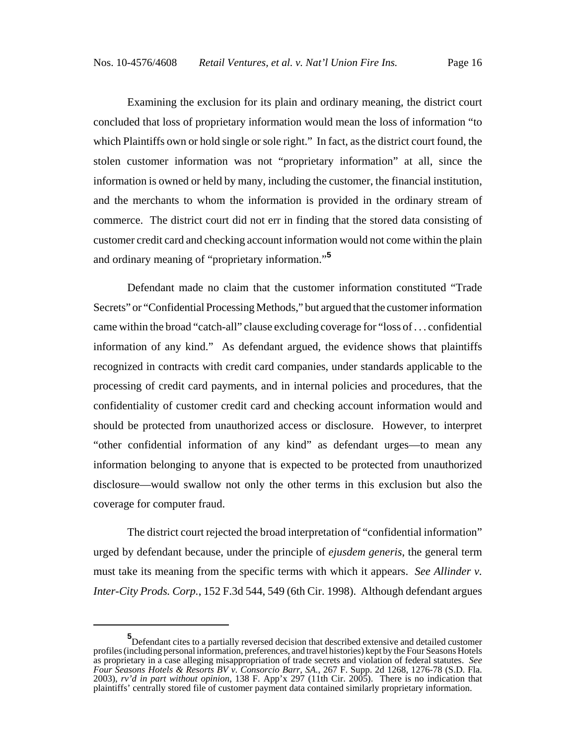Examining the exclusion for its plain and ordinary meaning, the district court concluded that loss of proprietary information would mean the loss of information "to which Plaintiffs own or hold single or sole right." In fact, as the district court found, the stolen customer information was not "proprietary information" at all, since the information is owned or held by many, including the customer, the financial institution, and the merchants to whom the information is provided in the ordinary stream of commerce. The district court did not err in finding that the stored data consisting of customer credit card and checking account information would not come within the plain and ordinary meaning of "proprietary information."**<sup>5</sup>**

Defendant made no claim that the customer information constituted "Trade Secrets" or "Confidential Processing Methods," but argued that the customer information came within the broad "catch-all" clause excluding coverage for "loss of . . . confidential information of any kind." As defendant argued, the evidence shows that plaintiffs recognized in contracts with credit card companies, under standards applicable to the processing of credit card payments, and in internal policies and procedures, that the confidentiality of customer credit card and checking account information would and should be protected from unauthorized access or disclosure. However, to interpret "other confidential information of any kind" as defendant urges—to mean any information belonging to anyone that is expected to be protected from unauthorized disclosure—would swallow not only the other terms in this exclusion but also the coverage for computer fraud.

The district court rejected the broad interpretation of "confidential information" urged by defendant because, under the principle of *ejusdem generis*, the general term must take its meaning from the specific terms with which it appears. *See Allinder v. Inter-City Prods. Corp.*, 152 F.3d 544, 549 (6th Cir. 1998). Although defendant argues

**<sup>5</sup>** Defendant cites to a partially reversed decision that described extensive and detailed customer profiles (including personal information, preferences, and travel histories) kept by the Four Seasons Hotels as proprietary in a case alleging misappropriation of trade secrets and violation of federal statutes. *See Four Seasons Hotels & Resorts BV v. Consorcio Barr, SA.*, 267 F. Supp. 2d 1268, 1276-78 (S.D. Fla. 2003), *rv'd in part without opinion*, 138 F. App'x 297 (11th Cir. 2005). There is no indication that plaintiffs' centrally stored file of customer payment data contained similarly proprietary information.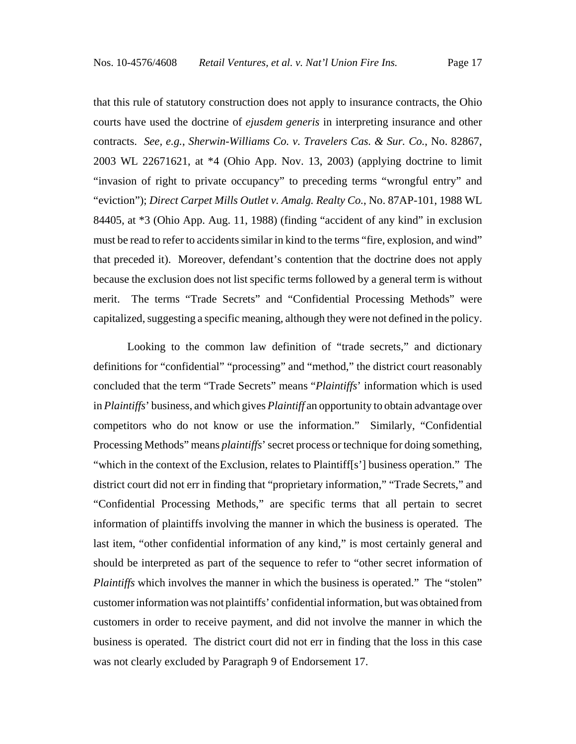that this rule of statutory construction does not apply to insurance contracts, the Ohio courts have used the doctrine of *ejusdem generis* in interpreting insurance and other contracts. *See, e.g.*, *Sherwin-Williams Co. v. Travelers Cas. & Sur. Co.*, No. 82867, 2003 WL 22671621, at \*4 (Ohio App. Nov. 13, 2003) (applying doctrine to limit "invasion of right to private occupancy" to preceding terms "wrongful entry" and "eviction"); *Direct Carpet Mills Outlet v. Amalg. Realty Co.*, No. 87AP-101, 1988 WL 84405, at \*3 (Ohio App. Aug. 11, 1988) (finding "accident of any kind" in exclusion must be read to refer to accidents similar in kind to the terms "fire, explosion, and wind" that preceded it). Moreover, defendant's contention that the doctrine does not apply because the exclusion does not list specific terms followed by a general term is without merit. The terms "Trade Secrets" and "Confidential Processing Methods" were capitalized, suggesting a specific meaning, although they were not defined in the policy.

Looking to the common law definition of "trade secrets," and dictionary definitions for "confidential" "processing" and "method," the district court reasonably concluded that the term "Trade Secrets" means "*Plaintiffs*' information which is used in *Plaintiffs*' business, and which gives *Plaintiff* an opportunity to obtain advantage over competitors who do not know or use the information." Similarly, "Confidential Processing Methods" means *plaintiffs*' secret process or technique for doing something, "which in the context of the Exclusion, relates to Plaintiff[s'] business operation." The district court did not err in finding that "proprietary information," "Trade Secrets," and "Confidential Processing Methods," are specific terms that all pertain to secret information of plaintiffs involving the manner in which the business is operated. The last item, "other confidential information of any kind," is most certainly general and should be interpreted as part of the sequence to refer to "other secret information of *Plaintiffs* which involves the manner in which the business is operated." The "stolen" customer information was not plaintiffs' confidential information, but was obtained from customers in order to receive payment, and did not involve the manner in which the business is operated. The district court did not err in finding that the loss in this case was not clearly excluded by Paragraph 9 of Endorsement 17.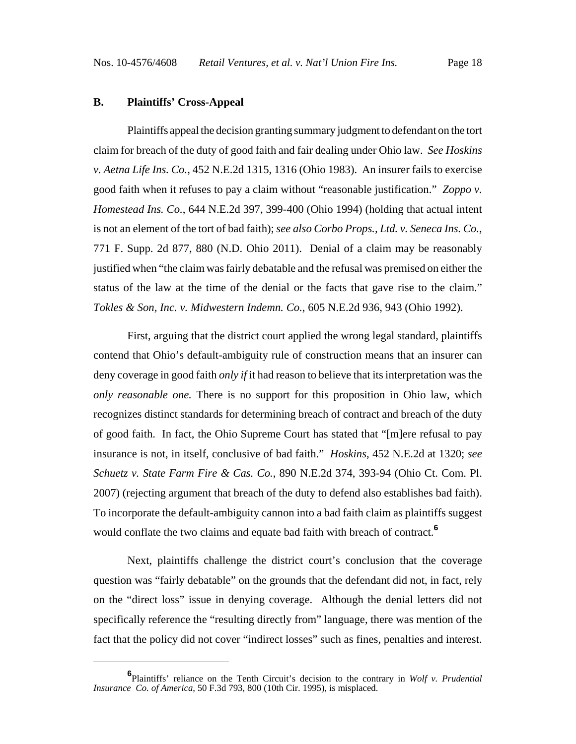#### **B. Plaintiffs' Cross-Appeal**

Plaintiffs appeal the decision granting summary judgment to defendant on the tort claim for breach of the duty of good faith and fair dealing under Ohio law. *See Hoskins v. Aetna Life Ins. Co.*, 452 N.E.2d 1315, 1316 (Ohio 1983). An insurer fails to exercise good faith when it refuses to pay a claim without "reasonable justification." *Zoppo v. Homestead Ins. Co.*, 644 N.E.2d 397, 399-400 (Ohio 1994) (holding that actual intent is not an element of the tort of bad faith); *see also Corbo Props., Ltd. v. Seneca Ins. Co.*, 771 F. Supp. 2d 877, 880 (N.D. Ohio 2011). Denial of a claim may be reasonably justified when "the claim was fairly debatable and the refusal was premised on either the status of the law at the time of the denial or the facts that gave rise to the claim." *Tokles & Son, Inc. v. Midwestern Indemn. Co.*, 605 N.E.2d 936, 943 (Ohio 1992).

First, arguing that the district court applied the wrong legal standard, plaintiffs contend that Ohio's default-ambiguity rule of construction means that an insurer can deny coverage in good faith *only if* it had reason to believe that its interpretation was the *only reasonable one.* There is no support for this proposition in Ohio law, which recognizes distinct standards for determining breach of contract and breach of the duty of good faith. In fact, the Ohio Supreme Court has stated that "[m]ere refusal to pay insurance is not, in itself, conclusive of bad faith." *Hoskins*, 452 N.E.2d at 1320; *see Schuetz v. State Farm Fire & Cas. Co.*, 890 N.E.2d 374, 393-94 (Ohio Ct. Com. Pl. 2007) (rejecting argument that breach of the duty to defend also establishes bad faith). To incorporate the default-ambiguity cannon into a bad faith claim as plaintiffs suggest would conflate the two claims and equate bad faith with breach of contract.**<sup>6</sup>**

Next, plaintiffs challenge the district court's conclusion that the coverage question was "fairly debatable" on the grounds that the defendant did not, in fact, rely on the "direct loss" issue in denying coverage. Although the denial letters did not specifically reference the "resulting directly from" language, there was mention of the fact that the policy did not cover "indirect losses" such as fines, penalties and interest.

**<sup>6</sup>** Plaintiffs' reliance on the Tenth Circuit's decision to the contrary in *Wolf v. Prudential Insurance Co. of America*, 50 F.3d 793, 800 (10th Cir. 1995), is misplaced.